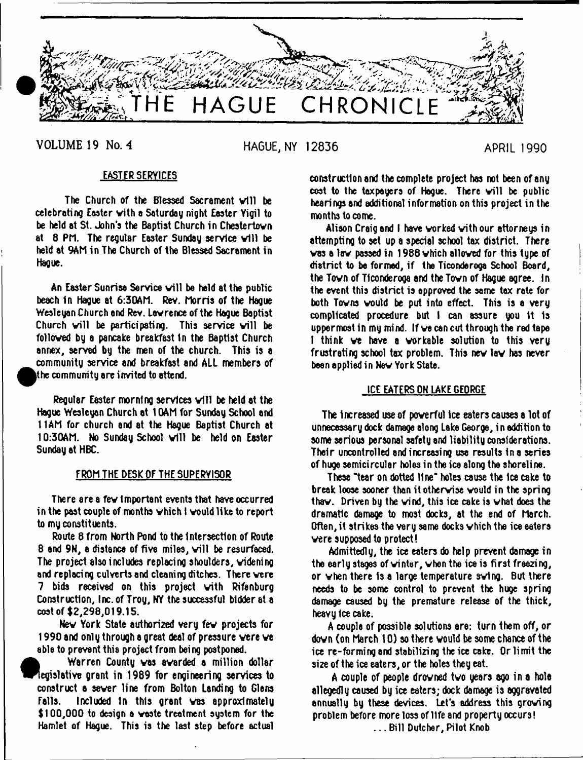

**VOLUME 19 No.** *<sup>4</sup>* **HAGUE, NY 12836 APRIL 1990**

# EASTER SERVICES

The Church of the Blessed Sacrament will be celebrating Easter vith a Saturday night Easter Vigil to be held at St. John's the Baptist Church in Chestertovn at 8 PM. The regular Easter Sunday service will be held at 9Ah in The Church of the Blessed Sacrament in Hague.

An Easter Sunrise Service will be held at the public beach in Hague at 6:30AM. Rev. Morris of the Hague Wesleyan Church end Rev. Lavrence of the Hague Baptist Church will be participating. This service will be folloved by a pancake breakfast In the Baptist Church annex, served by the men of the church. This is a community service and breakfast and ALL members of the community are invited to attend.  $\,$ 

Regular Easter morning services will be held at the Hague Wesleyan Church at 10AM for Sunday School and 11AM for church and at the Hague Baptist Church at 10:30AM. No Sunday School will be held on Easter Sunday at HBC.

## FROH THE DESK OF THE SUPERVISOR

There are a fev important events that have occurred in the past couple of months vhich I vould like to report to my constituents.

Route 8 from North Pond to the Intersection of Route 8 and 9N, a distance of five miles, will be resurfaced. The project also includes replacing shoulders, videning and replacing culverts and cleaning ditches. There vere 7 bids received on this project vith Rifenburg Construction, Inc. of Troy, NY the successful bidder at a cost of \$2,298,019.15.

Nev York State authorized very fev projects for 1990 and only through a great deal of pressure vere ve able to prevent this project from being postponed.

 $\bullet$  Warren County vas avarded a million dollar egislative grant in 1989 for engineering services to construct a sever line from Bolton Landing to Glens Falls. Included 1n this grant vas approximately \$100,000 to design a waste treatment system for the Hamlet of Hague. This is the last step before actual construction and the complete project has not been of any cost to the taxpayers of Hague. There will be public hearings and additional information on this project in the months to come.

Alison Craig and I have vorked vith our attorneys in attempting to set up a special school tax district. There vas a lav passed in 1988 vhich alloved for this type of district to be formed, if the Ticonderoga School Board, the Tovn of Ticonderoga and the Tovn of Hague agree. In the event this district is approved the same tax rate for both Tovns vould be put into effect. This is a very complicated procedure but I can assure you It 1s uppermost in my mind. If ve can cut through the red tape I think we have a workable solution to this very frustrating school tax problem. This nev lav has never been applied in Nev York State.

# ICE EATERS ON LAKE GEORGE

The Increased use of poverful ice eaters causes a lot of unnecessary dock damage along Lake George, in addition to some serious personal safety and liability considerations. Their uncontrolled and increasing use results In a series of huge semicircular holes in the ice along the shoreline.

These "tear on dotted line" holes cause the Ice cake to break loose sooner than itothervise vould in the spring thav. Driven by the vind, this ice cake is vhat does the dramatic damage to most docks, at the end of March. Often, it strikes the very same docks vhich the ice eaters vere supposed to protect!

Admittedly, the ice eaters do help prevent damage in the early stages of winter, when the ice is first freezing, or vhen there Is a large temperature svlng. But there needs to be some control to prevent the huge spring damage caused by the premature release of the thick, heavy Ice cake.

A couple of possible solutions are: turn them off, or dovn (on March 10) so there vould be some chance of the ice re-forming and stabilizing the ice cake. Or limit the size of the ice eaters, or the holes they eat.

A couple of people drovned tvo years ago in a hole allegedly caused by ice eaters; dock damage is aggravated annually by these devices. Let's address this groving problem before more toss of life and property occurs! ... Bill Dutcher, Pilot Knob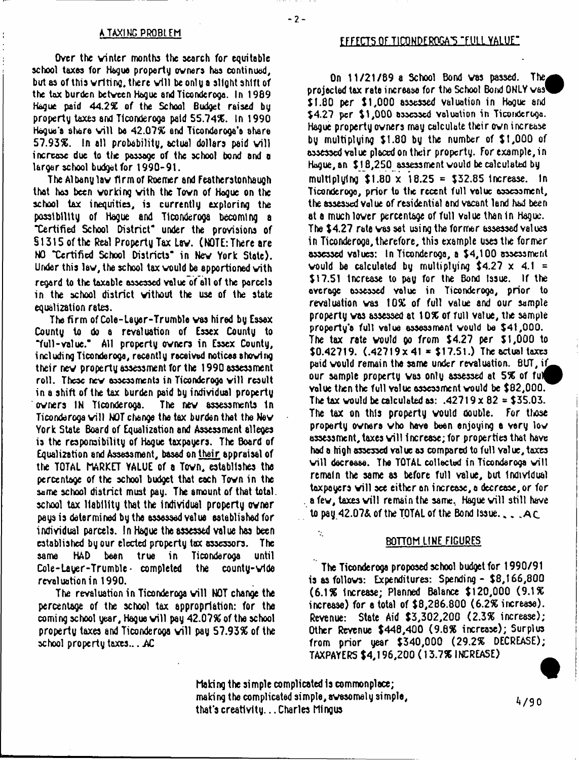Over the winter months the search for equitable school taxes for Hague property owners has continued, but as of this writing, there will beonlya slight shift of the tax burden between Hague and Ticonderoga. In 1989 Hague paid 44.2% of the School Budget raised by property taxes and Ticonderoga paid 55.74%. In 1990 Hogue's share will be 42.07% and Ticonderoga's share 57.93%. In all probability, actual dollars paid will increase due to the passage of the school bond and a larger school budget for 1990-91.

The Albany law firm of Roemer and Featherstonhaugh that has been working with the Town of Hague on the school tax inequities, is currently exploring the possibility of Hague and Ticonderoga becoming a "Certified School District- under the provisions of § 1315 of the Real Property Tax Law. ( MOTE: There are HO "Certified School Districts- in Nev York State). Under this law, the school tax would be apportioned with regard to the taxable assessed value of all of the parcels in the school district without the use of the state equalization rates.

The firm of Cole-Layer-Trumble vas hired by Essex County to do a revaluation of Essex County to "full-value." All property owners in Essex County, including Ticonderoga, recently received notices shoving their nev property assessment for the 1990 assessment roll. These new assessments in Ticonderoga will result in a shift of the tax burden paid by individual property owners IN Ticonderoga. The new assessments In Ticonderoga will HOT change the tax burden that the New York State Board of Equalization and Assessment alleges is the responsibility of Hague taxpayers. The Board of Equalization and Assessment, based on their appraisal of the TOTAL MARKET VALUE of a Town, establishes the percentage of the school budget that each Tovn in the same school district must pay. The amount of that total, school tax liability that the Individual property owner pays is determined by the assessed value established for individual parcels. In Hague the assessed value has been established by our elected property tax assessors. The same HAD been true in Ticonderoga until  $Cole-Lauer-Trumble \cdot \text{ combined}$  the county-vide revaluation in 1990.

The revaluation in Ticonderoga will NOT change the percentage of the school tax appropriation: for the coming school year, Hague will pay 42.07% of the school property taxes and Ticonderoga will pay 57.93% of the school property taxes... .AC

## EFFECTS OF TICONDEROGA'S "FULL YALUE"

On 11/21/89 a School Bond was passed. The projected tax rate increase for the School Bond ONLY was \$1.80 per \$1,000 assessed valuation in Hague and \$4.27 per \$1,000 assessed valuation in Ticonderoga. Hague property owners may calculate their own increase by multiplying \$1.80 by the number of \$1,000 of assessed value placed on their property. For example, in Hague, an \$18,250 assessment would be calculated by multiplying  $$1.80 \times 18.25 = $32.85$  increase. In Ticonderoga, prior to the recent full volue assessment, the assessed Value of residential end vacant land had been at a much lower percentage of full value than in Hague. The \$4.27 rate was set using the former assessed values in Ticonderoga, therefore, this example uses the former assessed values: In Ticonderoga, a \$4,100 assessment would be calculated by multiplying  $$4.27 \times 4.1 =$ \$17.51 increase to pay for the Bond Issue. If the overage assessed volue in Ticonderoga, prior to revaluation was 10% of full value and our sample property vas assessed at 10% of full value, the sample property's full value assessment would be \$41,000. The tax rate would go from \$4.27 per \$1,000 to \$0.42719.  $(.42719 \times 41 = $17.51$ .) The actual taxes paid would remain the same under revaluation. BUT, if our sample property was only assessed at 5% of ful volue then the full volue assessment would be \$82,000. The tax would be calculated as:  $.42719 \times 82 = $35.03$ . The tax on this property vould double. For those property owners who have been enjoying a very low assessment, taxes will 1ncrease;for properties that have hod a high assessed value as compared to full value, taxes will decrease. The TOTAL collected in Ticonderoga will remain the same as before full value, but Individual taxpayers will see either an increase, a decrease, or for a few, taxes will remain the same, Hague will still have to pay 42.07& of the TOTAL of the Bond Issue.  $\Box$ . A  $\Box$ 

#### BOTTOM LINE FIGURES

The Ticonderoga proposed school budget for 1990/91 is as follows: Expenditures: Spending - \$8,166,800 (6.1% Increase; Planned Balance \$120,000 (9.1% increase) for e total of \$8,286,800 (6.2% increase). Revenue: State Aid \$3,302,200 (2.3% increase); Other Revenue \$440,400 (9.6% increase); Surplus from prior year \$340,000 (29.2% DECREASE); TAXPAYERS \$4,196,200 (13.7% INCREASE)

Making the simple complicated is commonplace; making the complicated simple, awesomely simple, that's creativity... Charles Mingus

 $\mathcal{L}_{\mathcal{L}}$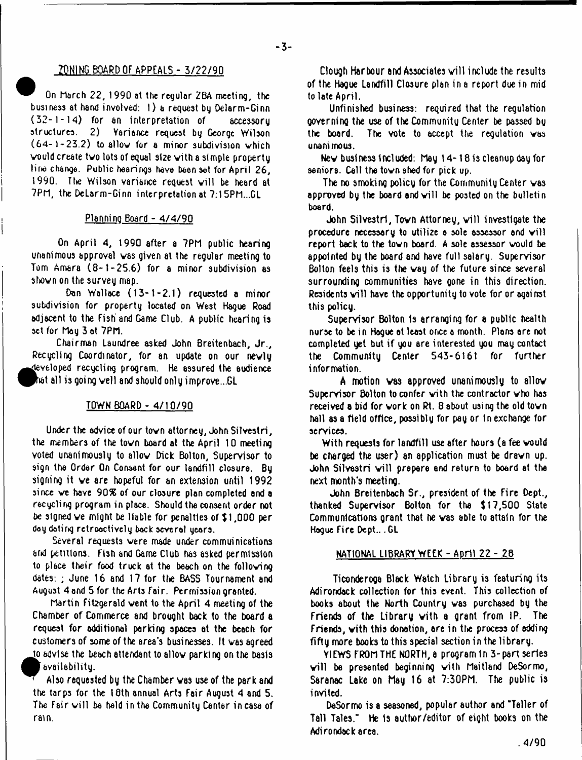# 7QNING BOARD Of APPEALS - 3/22/90

On March 22, 1990 at the regular ZBA meeting, the business at hand involved: 1) a request by Oelarm-Ginn (32-1-14) tor an interpretation of accessory Yariance request by George Wilson (64-1-23.2) to allow for a minor subdivision which vould create two lots of equal stze vith a simple property line change. Public hearings have been set for April 26, 1990. The Wilson variance request will be heard at 7PM, the DeLarm-Ginn interpretation at 7:15PM...GL

# Planning Board - 4/4/90

On April 4, 1990 after a 7PM public hearing unanimous approval vas given at the regular meeting to Tom Amara (8-1-25.6) for a minor subdivision as shown on the survey map.

Don Wallace (13-1-2.1) requested a minor subdivision for property located on West Hague Road adjacent to the Fish and Game Club. A public hearing is set for May 3 at 7PM.

Chairman Laundree asked John Breitenbach, Jr., Recycling Coordinator, for an update on our nevly **«** teyeloped recycling program. He assured the audience  $^\dagger$  all is going well and should only improve...GL

# TOWN BOARD - 4/10/90

Under the advice of our tovn attorney, John Silvestri, the members of the tovn board at the April 10 meeting voted unanimously to allow Dick Bolton, Supervisor to sign the Order On Consent for our landfill closure. By signing it ve are hopeful for an extension until 1992 since we have 90% of our closure plan completed and a recycling program in place. Should the consent order not be signed ve might be liable for penalties of \$ 1,000 per day dating retroactively back severol years.

Several requests vere made under commuinications arid petitions. Fish and Game Club has asked permission to place their food truck at the beach on the following dates: ; June 16 and 17 for the BASS Tournament and August 4 and 5 for the Arts Fair. Permission granted.

Martin Fitzgerald vent to the April 4 meeting of the Chamber of Commerce and brought back to the board a request for additional parking spaces at the beach for customers of some of the area's busi nesses. It vas agreed *jo* adYlse the beach attendant to allow parking on the basis

availability.

Also requested by the Chamber vas use of the park and the tarps for the 18th annual Arts Fair August 4 and 5. The Fair will be held in the Community Center in case of rain.

Clough Harbour and Associates will include the results of the Hague Landfill Closure plan in a report due in mid to late April.

Unfinished business: required that the regulation governing the use of theCommunitu Center be passed bg the board. The vote to accept the regulation vas unanimous.

Nev business Included: May 14-18 Is cleanup day for seniors. Call the town shed for pick up.

The no smoking policy for the Community Center vas approved by the board and will be posted on the bulletin board.

John Silvestri, Town Attorney, will investigate the procedure necessary to utilize a sole assessor and will report back to the town board. A sole assessor would be appointed by the board and have full salary. Supervisor Bolton feels this is the way of the future since several surrounding communities have Qone in this direction. Residents will have the opportunity to vote for or against this policy.

Supervisor Bolton Is arranging for a public health nurse to be in Hogue at least once a month. Plons are not completed yet but if you are interested you may contact the Community Center 543-616t for further information.

A motion vas approved unanimously to allov Supervisor Bolton to confer vith the contractor vho has received a bid for work on Rt. 8 about using the old town hall as a field office, possibly for pay or in exchange for services.

With requests for landfill use after hours (a fee vould be charged the user) an application must be dravn up. John Silvestri will prepare and return to board at the next month's meeting.

John Breitenbach Sr., president of the Fire Dept., thanked Supervisor Bolton for the *%* 17,500 State Communications grant that he vas able to attain for the Hague Fire Dept... GL

# NATIONAL LIBRARY WEEK - April 22 - 28

Ticonderoga Black Watch Library is featuring its Adirondack collection for this event. This collection of books about the North Country vas purchased by the Friends of the Library vith a grant from IP. The Friends, vith this donation, are in the process of adding fifty more books to this special section in the library.

VIEWS FROM THE NORTH, a program In 3-part series will be presented beginning with Maitland DeSormo, Saranac Lake on May 16 at 7:30PM. The public is invited.

DeSormo is a seasoned, popular author and "Teller of Tall Tales." He Is author/editor of eiQht books on the Adi rondack area.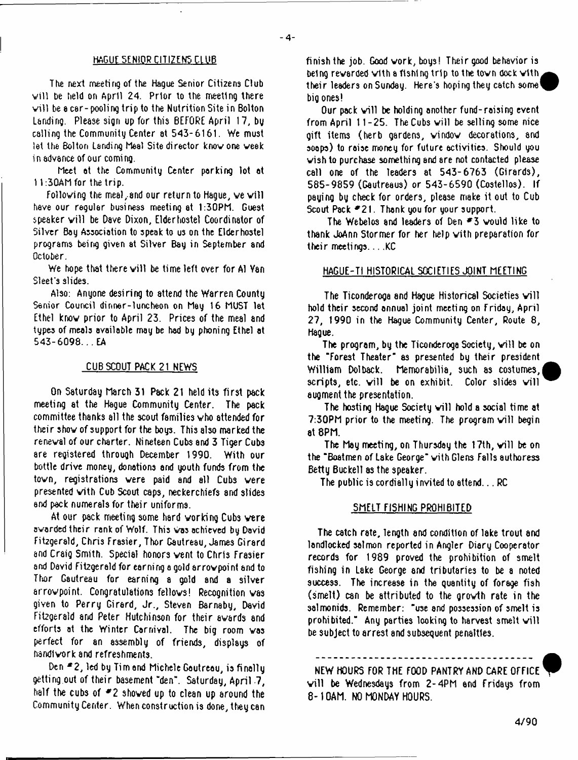## HAGUE SENIOR CITIZENS CLUB

The next meeting of the Hague Senior Citizens Club will be held on April 24. Prior to the meeting there will be a car-pooling trip to the Nutrition Site in Bolton Landing. Please sign up for this BEFORE April 17, by calling the Community Center at 543-6161. We must let the Bolton Landing Meal Site director knovone veek in advance of our coming.

Meet at the Community Center parking lot at 11:30AM for the trip.

Following the meal, and our return to Hague, we will have our regular business meeting at 1:30PM. Guest speaker will be Dave Dixon, Elderhostel Coordinator of Silver Bay Association to speak to us on the Elder hostel programs being given at Silver Bay in September and October.

We hope that there will be time left over for Al Yan Sleet's slides.

Also: Anyone desiring to attend the Warren County Senior Council dinner-luncheon on May 16 MUST let Ethel know prior to April 23. Prices of the meal and types of meals available may be had by phoning Ethel at 543-6098... EA

## CUB SCOUT PACK 21 NEWS

On Saturday March 31 Pack 21 held its first pack meeting at the Hague Community Center. The pack committee thanks all the scout families who attended for their show of support for the boy3. This also marked the reneval of our charter. Nineteen Cubs and 3 Tiger Cubs are registered through December 1990. With our bottle drive money, donations end youth funds from the tovn, registrations vere paid and all Cubs vere presented vith Cub Scout caps, neckerchiefs and slides and pack numerals for their uniforms.

At our pack meeting some hard working Cubs vere avarded their rank of Wolf. This Was achieved by David Fitzgerald, Chris Frasier, Thor Gautreau, James Girard and Craig Smith. Special honors vent to Chris Frasier and David Fitzgerald for earning a gold arrow point and to Thor Gautreau for earning a gold and a silver arrovpoint. Congratulations fellovs! Recognition vas given to Perry Girard, Jr., Steven Barnaby, David Fitzgerald and Peter Hutchinson for their awards and efforts at the Winter Carnival. The big room vas perfect for an assembly of friends, displays of handiwork and refreshments.

Den \*2, led by Tim end Michele Gautreau, is finally getting,out of their basement "den". Saturday, April -7, half the cubs of \*2 shoved up to clean up around the Community Center. When construction is done, they can finish the job. Good work, boys! Their good behavior is being revarded vith a fishing trip to the tovn dock vith their leaders on Sunday. Here's hoping they catch some' big ones!

Our pack will be holding another fund-raising event from April  $11 - 25$ . The Cubs will be selling some nice gift items (herb gardens, vindov decorations, and soaps) to raise money for future activities. Should you wish to purchase somethi ng and are not contacted please call one of the leaders at 543-6763 (Girards), 585-9859 (Gautreaus) or 543-6590 (Costellos). If paying by check for orders, please make it out to Cub Scout Pack \*21. Thank you for your support.

The Webelos and leaders of Den  $*3$  would like to thank JoAnn Stormer for her help vith preparation for their meetings...KC

#### HAGUE-TI HISTORICAL SOCIETIES JOINT MEETING

The Ticonderoga and Hague Historical Societies will hold their second annual joint meeting on Friday, April 27, 1990 in the Hague Community Center, Route 8, Hague.

The program, by the Ticonderoga Society, will be on the "Forest Theater" as presented by their president William Dolback. Memorabilia, such as costumes, scripts, etc. vill be on exhibit. Color slides vill augment the presentation.

The hosting Hague Society will hold a social time at  $7:30$ PM prior to the meeting. The program will begin at 8PM.

The May meeting, on Thursday the 17th, will be on the "Boatmen of Lake George" with Glens Falls authoress Betty Buckell as the speaker.

The public is cordially invited to attend... RC

### SMELT FISHING PROHIBITED

The catch rate, length and condition of lake trout and landlocked salmon reported in Angler Diary Cooperator records for 1989 proved the prohibition of smelt fishing in Lake George and tributaries to be a noted success. The increase in the quantity of forage fish (smelt) can be attributed to the growth rate in the salmonids. Remember: "use and possession of smelt is prohibited." Any parties looking to harvest smelt will be subject to arrest and subsequent penalties.

NEW HOURS FOR THE FOOD PANTRY AND CARE OFFICE will be Wednesdays from 2-4PM and Fridays from 8 -10AM. NO MONDAY HOURS.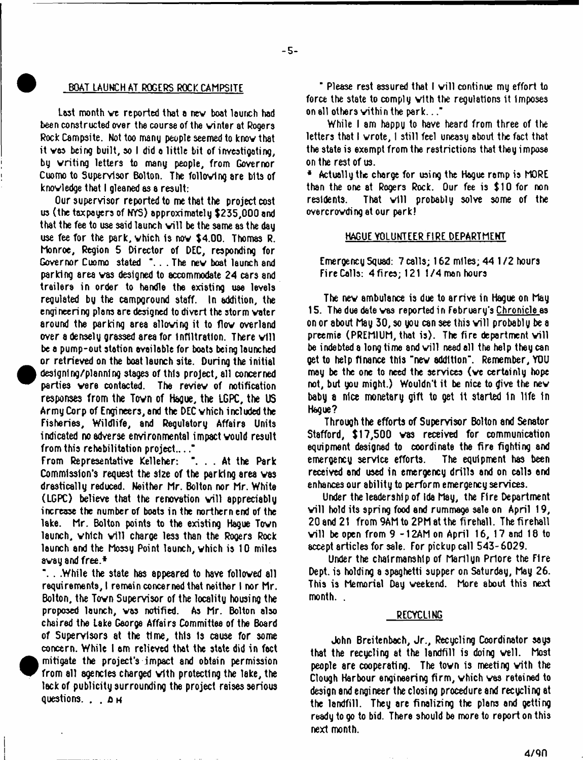## BOAT LAUNCH AT ROGERS ROCK CAMPSITE

Last month ve reported that a nev boat laurch had been constructed over the course of the winter at Rogers Rock Campsite. Not too many people seemed to know that it vas being built, so I did a little bit of investigating, by writing letters to many people, from Governor Cuomo to Supervisor Bolton. The following are bits of knowledge that I gleaned as a result:

Our supervisor reported to me that the project cost us (the taxpayers of NYS) approximately \$235,000 and that the fee to use said launch will be the same as the day use fee for the park, vhich Is now \$4.00. Thomas R. Monroe, Region 5 Director of DEC, responding for Governor Cuomo stated "... The new boat launch and parking area was designed to accommodate 24 cars and trailers in order to handle the existing use levels regulated by the campground staff. In addition, the engi neeri ng plans are designed to divert the storm voter around the parking area allowing it to flow overland over a densely grassed area for Infiltration. There will be a pump-out station available for boats being launched or retrieved on the boat launch site. During the initial designing/planning stages of this project, all concerned parties vere contacted. The review of notification responses from the Tovn of Hague, the LGPC, the US ArmyCorp of Engineers, and the DEC vhich included the Fisheries, Wildlife, and Regulatory Affairs Units indicated no adverse environmental impact vould result from this rehabilitation project...."

From Representative Kelleher: "... At the Park Commission's request the size of the parking area vas drastically reduced. Neither Mr. Bolton nor Mr. White (LGPC) believe that the renovation will appreciably increase the number of boats in the northern end of the lake. Mr. Bolton points to the existing Hague Tovn launch, which will charge less than the Rogers Rock launch and the Mossy Point launch, vhich is 10 miles 8vay and free.\*

". . .While the state has appeared to have followed all requirements, I remein concerned thet neither I nor Mr. Bolton, the Tovn Supervisor of the locality housing the proposed launch, vas notified. As Mr. Bolton also chaired the Lake George Affairs Committee of the Board of Supervisors at the time, this is cause for some concern. While 1 am relieved that the state did in fact mitigate the project's impact and obtain permission from all agencies charged vith protecting the lake, the lack of publicity surrounding the project raises serious questions. . . **jo <sup>h</sup>**

" Please rest assured that I will continue my effort to force the state to comply vith the regulations it Imposes on ell others vithin the park..."

While I am happy to have heard from three of the letters that I wrote, I still feel uneasy about the fact that the state is exempt from the restrictions that they impose on the rest of us.

\* Actually the charge for using the Hague ramp is MORE than the one at Rogers Rock. Our fee is \$10 for non residents. That will probably solve some of the overcrowding at our perk!

## HAGUE VOLUNTEER FIRE DEPARTMENT

Emergency Squad: 7 calls; 162 miles; 44 1 /2 hours Fire Calls: 4fires;121 1/4 men hours

The nev ambulance is due to arrive in Hague on May 15. The due date vas reported in Februaru's Chronicle as on or about May 30, so you can see this will probably be a preemie (PREMIUM, that is). The fire department will be indebted a long time and will need all the help they can Qet to help finance this "nev addition". Remember, YOU may be the one to need the services (ve certainly hope not, but you might.) Wouldn't it be nice to give the nev baby a nice monetary gift to get It started In life in Hague?

Through the efforts of Supervisor Bolton and Senator Stafford, \$17,500 was received for communication equipment designed to coordinate the fire fighting and emergency service efforts. The equipment has been received and used in emergency drills and on calls and enhances our ability to perform emergency services.

Under the leadership of Ida May, the Fire Department will hold its spring food and rummage sale on April 19, 20 and 21 from 9AM to 2PM at the fireball. The firehall will be open from  $9 - 12$ AM on April 16, 17 and 18 to accept articles for sale. For pickup call 543-6029.

Under the chairmanship of Marilyn Prlore the Fire Dept, is holding a spaghetti supper on Saturday, May 26. This is Memorial Day weekend. More about this next month. .

### RECYCLING

John Breitenbach, Jr., Recycling Coordinator says that the recycling at the landfill is doing veil. Most people are cooperating. The tovn is meeting vith the Clough Harbour engineering firm , vhich vas reteined to design and engineer the closing procedure and recycling at the landfill. They are finalizing the plans and getting ready to go to bid. There should be more to report on this next month.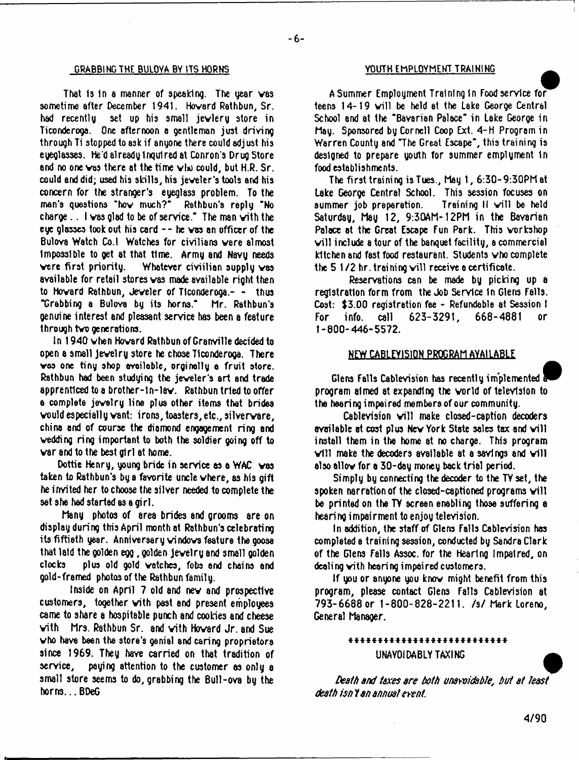#### GRABBING THE BULOYA BY ITS HORNS YOUTH EMPLOYMENT TRAINING

That is in a manner of speaking. The year was sometime after December 1941. Hovard Rathbun, Sr. had recently set up his small jevlery store in Ticonderoga. One afternoon a gentleman just driving through Ti stopped to ask if anyone there could adj ust his eyeglasses. He'd already inquired at Conron's Drug Store and no one was there at the time who could, but H.R. Sr. could and did; used his skills, his jeveler's tools and his concern for the stranger's eyeglass problem. To the man's questions "hov much?" Rathbun's reply "No charge.. I vas glad to be of service." The man vith the eye glasses took out his card - - he vas an officer of the Bulova Watch Co.l Watches for civilians vere almost Impossible to get at that time. Army and Navy needs vere first priority. Whatever ciYiilian supply vas available for retail stores vas made available right then to Hovard Rathbun, Jeveler of Ticonderoga.- - thus "Grabbing a Buloya by its horns." Mr. Rathbun's genuine interest and pleasant service has been a feature through tvo generations.

In 1940 vhen Hovard Rathbun of Granville decided to open a small jevelry store he chose Tlconderooa. There vas one tiny shop ovoiloble, orginolly o fruit store. Rathbun had been studying the jeveler's art and trade apprenticed to a brother-ln-lav. Rathbun tried to offer a complete jevelry line plus other items that brides vould especially vant: irons, toasters, etc., silvervare, china and of course the diamond engagement ring and vedding ring important to both the soldier going off to var and to the best girl at home.

Dottie Henry, young bride in service as a WAC vas taken to Rathbun's by a favorite uncle vhere, as his gift he invited her to choose the silver needed to complete the sat she had started as a girl.

Many photos of area brides and grooms are on display during this April month at Rathbun's celebrating its fiftieth year. Anniversary vindovs feature the goose that laid the golden egg, golden Jevelry and small golden clocks plus old gold vetches, fobs end cheins end gold-framed photos of the Rathbun family.

Inside on April 7 old and nev and prospective customers, together vith past and present employees came to share a hospitable punch and cookies and cheese vith Mrs. Rathbun Sr. and vith Hovard Jr. and Sue vho have been the store's genial and caring proprietors since 1969. They have carried on that tradition of service, paying attention to the customer as only a small store seems to do, grabbing the Bull-ova by the horns... BDeG

A Summer Employment Training In Foodservice for teens 14-19 will be held at the Lake George Central School and at the "Bavarian Palace" in Lake George in May. Sponsored by Cornell Coop Ext. 4-H Program in Warren County and "The Great Escape", this training is designed to prepare youth for summer emplyment In food establishments.

The first training isTues., May 1, 6:30-9:30PMat Lake George Central School. This session focuses on summer job preparation. Training II will be held Saturday, May 12, 9:30AM- 12PM in the Bavarian Palace at the Great Escape Fun Park. This vorkshop will include a tour of the banquet facility, a commercial kitchen and fast food restaurant. Students vho complete the 5 1/2 hr. training will receive a certificate.

Reservations can be made by picking up a registration form from the Job Service In Glens Falls. Cost: \$3.00 registration fee - Refundable at Session I For info, call 623-3291, 668-4881 or 1-800-446-5572.

# NEW CABLEYISION PROGRAM AVAILABLE

Glens Falls Cablevision has recently implemented program aimed at expanding the vorld of television to the heeri ng i mpei red members of our community.

Cablevision will make closed-caption decoders available at cost plus New York State sales tax and will install them in the home at no charge. This program  $\vee$ ill make the decoders available at a sayings and  $\vee$ ill also allov for a 30-day money back trial period.

Simply by connecting the decoder to the TY set, the spoken narration of the closed-captioned programs will be printed on the TY screen enabling those suffering e hearing impairment to enjoy television.

In addition, the staff of Glens Falls Cablevision has completed a training session, conducted by Sandra Clark of the Glens Falls Assoc, for the hearing Impaired, on dealing vith hearing impaired customers.

If you or anyone you knov might benefit from this program, please contact Glens Falls Cablevision at 793-6688 or 1-800-828-2211. /s/ Mark Loreno, General Manager.

# \* \* \* \* \* \* \* \* \* \* \* \* \* \* \* \* \* \* \* \* \* \* \* \* \* \* \* UNAVOIDABLY TAXING

*Death and taxes are both unavoidable, but et least death isn t an annual event.*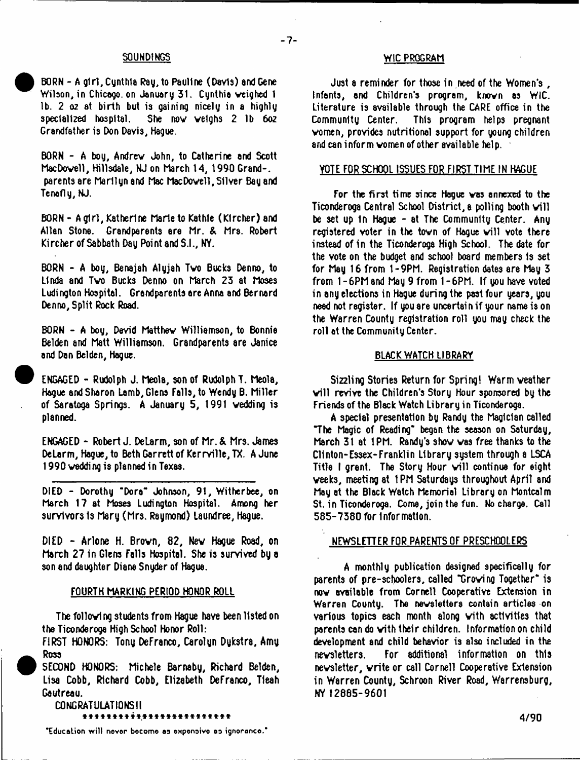BORN - A girl, Cynthia Ray, to Pauline (Davla) and Gene Wilson, in Chicago, on January 31. Cunthia weighed 1. lb. 2 *oz* at birth but is gaining nicely in a highly She now welchs 2 lb 6oz Grandfather is Don Davis, Hague.

BORN - A boy, Andrew John, to Catherine and Scott MacDovell, Hillsdale, NJ on March 14, 1990 Grand-, parents are Marilyn and Mac MacDovell, Silver Bay and Tenofly, NJ.

BORN - A girl, Katherine Marie to Kathle (Klrcher) and Allan Stone. Grandparents ere Mr. & Mrs. Robert Kircher of Sabbath Day Point and S.I., NY.

BORN - A boy, Benajah Alyjah Two Bucks Denno, to Linda and Two Bucks Denno on March 23 at Moses Ludington Hospital. Grandparents are Anna and Bernard Denno, Split Rock Road.

BORN - A boy, David Matthev Williamson, to Bonnie Belden and Matt Williamson. Grandparents are Janice and Dan Belden, Hague.

ENGAGED - Rudolph J. Meola, son of Rudolph T. Meola, Hague and Sharon Lamb, Glens Falls, to Wendy B. Miller of Saratoga Springs. A January 5, 1991 vedding is planned.

ENGAGED - Robert J. DeLarm, son of Mr. & Mrs. James DeLarm, Hague, to Beth Garrett of Kerrville, TX. A June 1990 vedding is planned in Texas.

DIED - Dorothy "Dora" Johnson, 91, Witherbee, on March 17 at Moses Ludington Hospital. Among her survivors Is Mary (Mrs. Raymond) Laundree, Hague.

DIED - Arlone H. Brovn, 82, Nev Hague Road, on March 27 in Glens Falls Hospital. She is survived by a son and daughter Diane Snyder of Hague.

#### FOURTH MARKING PERIOD HONOR ROLL

The following students from Hague have been listed on the Ticonderoga High School Honor Roll:

FIRST HONORS: Tony DeFranco, Carolyn Dykstra, Amy Ross

SECOND HONORS: Michele Barnaby, Richard Belden, Lisa Cobb, Richard Cobb, Elizabeth DeFranco, Tleah Gautreau.

CONGRATULATIONS!! \*\*\*\*\*\*\*\*\*\*\*\*\*\*\*\*\*\*\*\*\*\*\*\*

SOUNDINGS WIC PROGRAM

Just a reminder for those in need of the Women's, Infants, and Children's program, known os WIC. Literature is available through the CARE office in the Community Center. This program helps pregnant This program helps pregnant vomen, provides nutritional support for young children and can inform women of other available help.

# VOTE FOR SCHOOL ISSUES FOR FIRST TIME IN HAGUE

For the first time since Hogue vas annexed to the Ticonderoga Central School District, a polling booth will be set up 1n Hague - at The Community Center. Any registered voter in the town of Hague will vote there instead of in the Ticonderoga High School. The date for the vote on the budget and school board members is set for May 16 from 1-9PM. Registration dates are May 3 from 1 - 6PM and May 9 from 1 - 6PM. If you have voted in any elections in Hague during the past four years, you need not register. If you are uncartai n if your name is on the Warren County registration roll you may check the roll at the Community Center.

## BLACK WATCH LIBRARY

Sizzling Stories Return for Spring! Warm veether will revive the Children's Story Hour sponsored by the Friends of the Black Watch Library in Ticonderoga.

A special presentation by Randy the Magician called "The Magic of Reading" began the season on Saturday, March 31 at 1PM. Randy's shov vas free thanks to the Clinton-Essex-Franklin Library system through a LSCA Title I grent. The Story Hour will continue for eight veeks, meeting at 1PM Saturdays throughout April and May at the Black Watch Memorial Library on Montcalm St. in Ticonderoga. Come, join the fun. No charge. Call 585-7380 for Information.

# NEWSLETTER FOR PARENTS OF PRESCHOOLERS

A monthly publication designed 9pecificelly for parents of pre-schoolers, called "Groving Together" is nov available from Cornell Cooperative Extension in Warren County. The newsletters contain articles on various topics each month along vith activities that parents can do vith their children. Information on child development and child behavior is also included in the nevsletters. For additional information on this newsletter, vrite or call Cornell Cooperative Extension in Warren County, Schroon River Road, Warrensburg, NY 12885-9601

**"Education wilt never become oe eftpeneive as ignoranco."**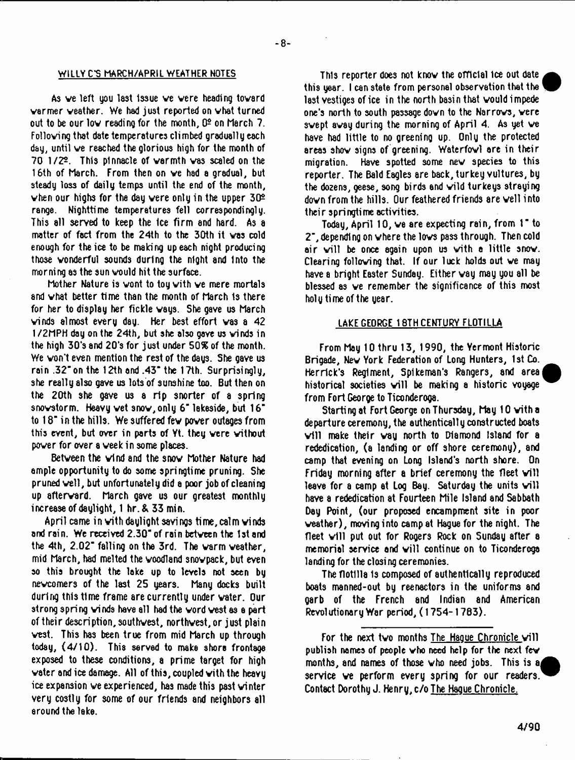#### WILLY CS MARCH/APRIL WEATHER NOTES

As ve left you last Issue ve vere heading tovard varmer veather. We had just reported on vhat turned out to be our low reading for the month,  $0<sup>2</sup>$  on March 7. Folloving that date temperatures climbed gradually each day, until ve reached the glorious high for the month of 70 1/22. This pinnacle of varmth vas scaled on the 16th of March. From then on ve had a gradual, but steady loss of daily temps until the end of the month, when our highs for the day were only in the upper  $30<sup>2</sup>$ range. Nighttime temperatures fell correspondingly. This all served to keep the ice firm and hard. As a matter of fact from the 24th to the 30th it vas cold enough for the ice to be making up each night producing those vonderful sounds during the nlQht and Into the morning as the sun vould hit the surface.

Mother Nature is vont to toy vith ve mere mortals and vhat better time than the month of March 1s there for her to display her fickle vays. She gave us March vinds almost every day. Her best effort vas a 42 1/2MPH day on the 24th, but she also gave us vinds in the high 30's and 20's for just under *SQ%* of the month. We von't even mention the rest of the days. She gave us rain .32"on the 12th and .43" the 17th. Surprisingly, she really also gave us lots of sunshine too. But then on the 20th she gave us a rip snorter of a spring snovstorm. Heavy vet snov,only 6" lakeside, but 16" to 18" in the hills. We suffered fev pover outages from this event, but over in parts of Yt. they vere vithout pover for over a veek in some places.

Betveen the vind and the snov Mother Nature had ample opportunity to do some springtime pruning. She pruned veil, but unfortunately did a poor job of cleaning up aftervard. March gave us our greatest monthly increase of daylight, 1 hr.&33 min.

April came in with daylight savings time, calm winds and rain. We received 2.30" of rain betveen the 1st and the 4th, 2.02" falling on the 3rd. The varm veather, mid March, had melted the voodland snovpack, but even so this brought the lake up to levels not seen by nevcomers of the last 25 years. Many docks built during this time frame are currently under vater. Our strong spring vinds have all had the vord vest as a part of their description, southvest, northvest,or just plain vest. This has been true from mid March up through today, (4/10). This served to make shore frontage exposed to these conditions, a prime target for high vater and ice damage. All of this, coupled vith the heavy ice expansion ve experienced, has made this past vinter very costly for some of our friends and neighbors all around the lake.

This reporter does not knov the official ice out date this year. I can state from personal observation that the last vestiges of ice in the north basin that vould impede one's north to south passage dovn to the Narrovs, vere svept avay during the morning of April 4. As yet ve have had little to no greening up. Only the protected areas shov signs of greening. Waterfovl are in their migration. Have spotted some nev species to this reporter. The Bald Eagles are back, turkey vultures, by the dozens, geese, song birds end vild turkeys straying dovn from the hills. Our feathered friends are veil into their springtime activities.

Today, April 10, we are expecting rain, from 1" to 2", depending on vhere the lovs passthrough. Then cold air will be once again upon us with a little snow. Clearing folloving that. If our luck holds out ve may have a bright Easter Sunday. Either vay may you all be blessed as ve remember the significance of this most holy time of the year.

# LAKE GEORGE 18TH CENTURY FLOTILLA

From May 10 thru 13, 1990, the Yermont Historic Brigade, Nev York Federation of Long Hunters, 1st Co. Herrick's Regiment, Spikeman's Rangers, and area historical societies will be making a historic voyage from Fort George to Ticonderoga.

Starting at Fort George on Thursday, May 10 vith a departure ceremony, the authentically constructed boats v ill make their vay north to Diamond Island for a rededication, (a landing or off shore ceremony), and camp that evening on Long Island's north shore. On Friday morning after a brief ceremony the fleet will leave for a camp at Log Bay. Saturday the units will have a rededication at Fourteen Mile Island and Sabbath Day Point, (our proposed encampment site in poor veather), moving into camp at Hague for the night. The fleet will put out for Rogers Rock on Sunday after a memorial service and will continue on to Ticonderoga landing for the closing ceremonies.

The flotilla 1s composed of authentically reproduced boats manned-out by reenactors in the uniforms and garb of the French and Indian and American Revolutionary War period, (1754-1783).

For the next two months The Haque Chronicle will publish names of people vho need help for the next fev months, and names of those vho need jobs. This is &j service ve perform every spring for our readers. Contact Dorothy J. Henry, c/o The Hague Chronicle.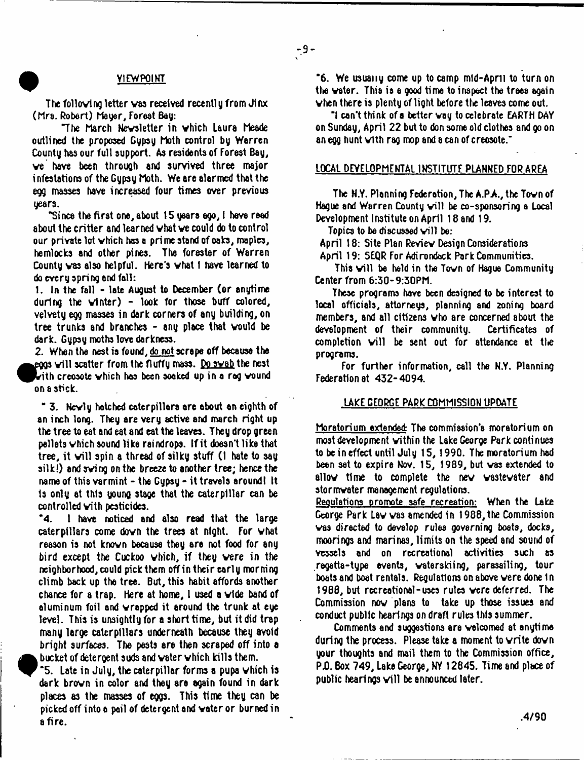### ^ VIEWPOINT

The following letter vas received recently from Jinx (Mrs. Robert) Mayer, Forest Bay:

"The March Newsletter in vhich Laura Meade outlined the proposed Gypsy Moth control by Warren County has our full support. As residents of Forest Bay, ve have been through and survived three major infestations of the Gypsy Moth. We are alarmed that the egg masses have increased four times over previous years.

"Since the first one, about 15 years ago, i have read about the critter and learned vhat ve could do to control our private lot vhich has a prime stand of oaks, maples, hemlocks and other pines. The forester of Warren County vas also helpful. Here's vhat I have learned to do every spring and fall:

1. In the fall - late August to December (or anytime during the vinter) - look for those buff colored, velvety egg masses in dark corners of any building, on tree trunks and branches - any place that vould be dark. Gypsy moths love darkness.

2. When the nest is found, do not scrape off because the  $_{\rm g203}$  will scatter from the fluffy mass. Do swab the nest  $\mathbf b$  ith creosote which has been soaked up in a rag vound on a stick.

" 3. Nevly hatched caterpillars are about an eighth of an inch long. They are very active and march right up the tree to eat and eat and eat the leaves. They drop green pellets vhich sound like raindrops. If it doesn't like that tree, it will spin a thread of silky stuff (I hate to say silk!) and swing on the breeze to another tree; hence the name of this varmint - the Gypsy - it travels around! It Is only at this young stage that the caterpillar can be controlled vith pesticides.

"4. 1 have noticed and also read that the large caterpillars come dovn the trees at night. For vhat reason is not known because they are not food for any bird except the Cuckoo vhich, if they vere in the neighborhood, could pick them offintheirearly morning climb back up tha tree. But, this habit affords another chance for a trap. Here at home, 1 used a vide band of aluminum foil and wrapped it around the trunk at eye level. This is unsightly for a short time, but it did trap many large caterpillars underneath because they avoid bright surfaces. The pasts are then scraped off into a bucket of detergent suds and vater vhich kills them.

"5. Late in July, the caterpillar forms a pupa vhich is dark brovn in color and they are again found in dark places as the masses of eggs. This time they can be pickedoff intoa pail of detergentand vater or burnedin afire.

"6. We usually come up to camp mid-Apmil to turn on the vater. Thia is a good time to inspect the trees again vhen there is plenty of light before the leaves come out.

"i can't think of a better vay to celebrate EARTH DAY on Sunday, April 22 but to don some old clothes and go on an egg hunt vith rag mop and a can of creosote.'

### LOCAL DEVELOPMENTAL INSTITUTE PLANNED FOR AREA

The N.Y. Planning Federation, The A.P.A., the Tovn of Hague and Warren County will be co-sponsoring a Local Development Institute on April 18 and 19.

Topics to be discussed will be:

April 18: Site Plan Review Design Considerations

April 19: 5EQR For Adirondack Park Communities.

This will be held in the Town of Hague Community Center from 6:30-9:30PM.

These programs have been designed to be interest to local officials, attorneys, planning and 2oning board members, and all citizens vho are concerned about the development of their community. Certificates of completion will be sent out for attendance at the programs.

For further information, call the N.Y. Planning Federation at 432-4094.

#### LAKE GEORGE PARK COMMISSION UPDATE

Moratorium extended The commiaaion'a moratorium on most development within the Lake George Park continues to be in effect until July 15, 1990. The moratorium had been set to expire Nov. 15, 1989, but vas extended to allow time to complete the nev vastevater and stormvater management regulations.

Regulations promote safe recreation: When the Lake George Park Lav vas amended in 1988, the Commission vas directed to develop rules governing boats, docks, moorings and marinas, limits on the speed and sound of vessels and on recreational activities such as regatta-type events, vaterskiing, parasailing, tour boats and boat rentals. Regulations on above were done in 1988, but recreational-uses rules vere deferred. The Commission now plans to take up those issues and conduct public hearings on draft rules this summer.

Comments and suggestions are welcomed at anytime during the process. Please take a moment to write dovn your thoughts and mail them to the Commission office, P.D. Box 749, Lake George, NY 12845. Time and place of public hearings will be announced later.